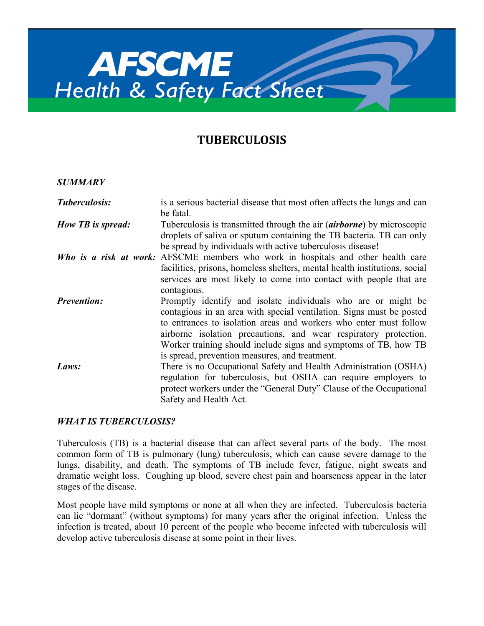

# **TUBERCULOSIS**

#### *SUMMARY*

| Tuberculosis:      | is a serious bacterial disease that most often affects the lungs and can<br>be fatal.                                                                                                                                                                                                                                                                                                               |
|--------------------|-----------------------------------------------------------------------------------------------------------------------------------------------------------------------------------------------------------------------------------------------------------------------------------------------------------------------------------------------------------------------------------------------------|
| How TB is spread:  | Tuberculosis is transmitted through the air <i>(airborne)</i> by microscopic<br>droplets of saliva or sputum containing the TB bacteria. TB can only<br>be spread by individuals with active tuberculosis disease!                                                                                                                                                                                  |
|                    | Who is a risk at work: AFSCME members who work in hospitals and other health care<br>facilities, prisons, homeless shelters, mental health institutions, social<br>services are most likely to come into contact with people that are<br>contagious.                                                                                                                                                |
| <b>Prevention:</b> | Promptly identify and isolate individuals who are or might be<br>contagious in an area with special ventilation. Signs must be posted<br>to entrances to isolation areas and workers who enter must follow<br>airborne isolation precautions, and wear respiratory protection.<br>Worker training should include signs and symptoms of TB, how TB<br>is spread, prevention measures, and treatment. |
| Laws:              | There is no Occupational Safety and Health Administration (OSHA)<br>regulation for tuberculosis, but OSHA can require employers to<br>protect workers under the "General Duty" Clause of the Occupational<br>Safety and Health Act.                                                                                                                                                                 |

#### *WHAT IS TUBERCULOSIS?*

Tuberculosis (TB) is a bacterial disease that can affect several parts of the body. The most common form of TB is pulmonary (lung) tuberculosis, which can cause severe damage to the lungs, disability, and death. The symptoms of TB include fever, fatigue, night sweats and dramatic weight loss. Coughing up blood, severe chest pain and hoarseness appear in the later stages of the disease.

Most people have mild symptoms or none at all when they are infected. Tuberculosis bacteria can lie "dormant" (without symptoms) for many years after the original infection. Unless the infection is treated, about 10 percent of the people who become infected with tuberculosis will develop active tuberculosis disease at some point in their lives.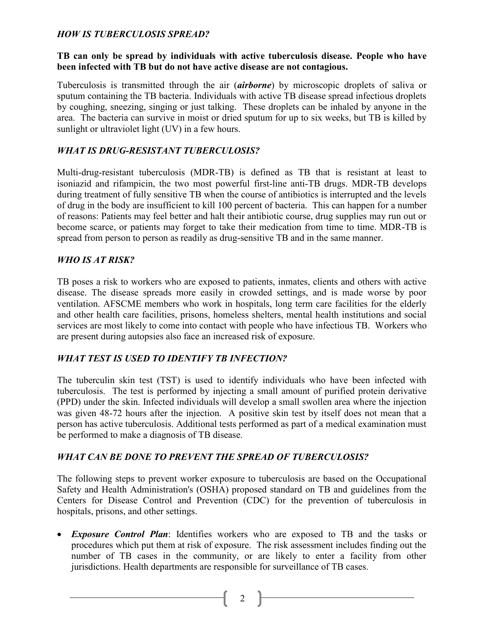#### *HOW IS TUBERCULOSIS SPREAD?*

#### **TB can only be spread by individuals with active tuberculosis disease. People who have been infected with TB but do not have active disease are not contagious.**

Tuberculosis is transmitted through the air (*airborne*) by microscopic droplets of saliva or sputum containing the TB bacteria. Individuals with active TB disease spread infectious droplets by coughing, sneezing, singing or just talking. These droplets can be inhaled by anyone in the area. The bacteria can survive in moist or dried sputum for up to six weeks, but TB is killed by sunlight or ultraviolet light (UV) in a few hours.

### *WHAT IS DRUG-RESISTANT TUBERCULOSIS?*

Multi-drug-resistant tuberculosis (MDR-TB) is defined as TB that is resistant at least to isoniazid and rifampicin, the two most powerful first-line anti-TB drugs. MDR-TB develops during treatment of fully sensitive TB when the course of antibiotics is interrupted and the levels of drug in the body are insufficient to kill 100 percent of bacteria. This can happen for a number of reasons: Patients may feel better and halt their antibiotic course, drug supplies may run out or become scarce, or patients may forget to take their medication from time to time. MDR-TB is spread from person to person as readily as drug-sensitive TB and in the same manner.

#### *WHO IS AT RISK?*

TB poses a risk to workers who are exposed to patients, inmates, clients and others with active disease. The disease spreads more easily in crowded settings, and is made worse by poor ventilation. AFSCME members who work in hospitals, long term care facilities for the elderly and other health care facilities, prisons, homeless shelters, mental health institutions and social services are most likely to come into contact with people who have infectious TB. Workers who are present during autopsies also face an increased risk of exposure.

#### *WHAT TEST IS USED TO IDENTIFY TB INFECTION?*

The tuberculin skin test (TST) is used to identify individuals who have been infected with tuberculosis. The test is performed by injecting a small amount of purified protein derivative (PPD) under the skin. Infected individuals will develop a small swollen area where the injection was given 48-72 hours after the injection. A positive skin test by itself does not mean that a person has active tuberculosis. Additional tests performed as part of a medical examination must be performed to make a diagnosis of TB disease.

#### *WHAT CAN BE DONE TO PREVENT THE SPREAD OF TUBERCULOSIS?*

The following steps to prevent worker exposure to tuberculosis are based on the Occupational Safety and Health Administration's (OSHA) proposed standard on TB and guidelines from the Centers for Disease Control and Prevention (CDC) for the prevention of tuberculosis in hospitals, prisons, and other settings.

 *Exposure Control Plan*: Identifies workers who are exposed to TB and the tasks or procedures which put them at risk of exposure. The risk assessment includes finding out the number of TB cases in the community, or are likely to enter a facility from other jurisdictions. Health departments are responsible for surveillance of TB cases.

2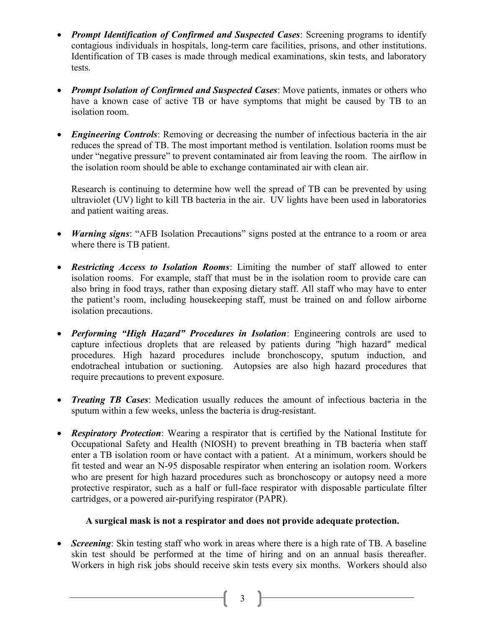- *Prompt Identification of Confirmed and Suspected Cases*: Screening programs to identify contagious individuals in hospitals, long-term care facilities, prisons, and other institutions. Identification of TB cases is made through medical examinations, skin tests, and laboratory tests.
- *Prompt Isolation of Confirmed and Suspected Cases*: Move patients, inmates or others who have a known case of active TB or have symptoms that might be caused by TB to an isolation room.
- *Engineering Controls*: Removing or decreasing the number of infectious bacteria in the air reduces the spread of TB. The most important method is ventilation. Isolation rooms must be under "negative pressure" to prevent contaminated air from leaving the room. The airflow in the isolation room should be able to exchange contaminated air with clean air.

Research is continuing to determine how well the spread of TB can be prevented by using ultraviolet (UV) light to kill TB bacteria in the air. UV lights have been used in laboratories and patient waiting areas.

- *Warning signs*: "AFB Isolation Precautions" signs posted at the entrance to a room or area where there is TB patient.
- *Restricting Access to Isolation Rooms*: Limiting the number of staff allowed to enter isolation rooms. For example, staff that must be in the isolation room to provide care can also bring in food trays, rather than exposing dietary staff. All staff who may have to enter the patient's room, including housekeeping staff, must be trained on and follow airborne isolation precautions.
- *Performing "High Hazard" Procedures in Isolation*: Engineering controls are used to capture infectious droplets that are released by patients during "high hazard" medical procedures. High hazard procedures include bronchoscopy, sputum induction, and endotracheal intubation or suctioning. Autopsies are also high hazard procedures that require precautions to prevent exposure.
- *Treating TB Cases*: Medication usually reduces the amount of infectious bacteria in the sputum within a few weeks, unless the bacteria is drug-resistant.
- *Respiratory Protection*: Wearing a respirator that is certified by the National Institute for Occupational Safety and Health (NIOSH) to prevent breathing in TB bacteria when staff enter a TB isolation room or have contact with a patient. At a minimum, workers should be fit tested and wear an N-95 disposable respirator when entering an isolation room. Workers who are present for high hazard procedures such as bronchoscopy or autopsy need a more protective respirator, such as a half or full-face respirator with disposable particulate filter cartridges, or a powered air-purifying respirator (PAPR).

# **A surgical mask is not a respirator and does not provide adequate protection.**

• *Screening*: Skin testing staff who work in areas where there is a high rate of TB. A baseline skin test should be performed at the time of hiring and on an annual basis thereafter. Workers in high risk jobs should receive skin tests every six months. Workers should also

3